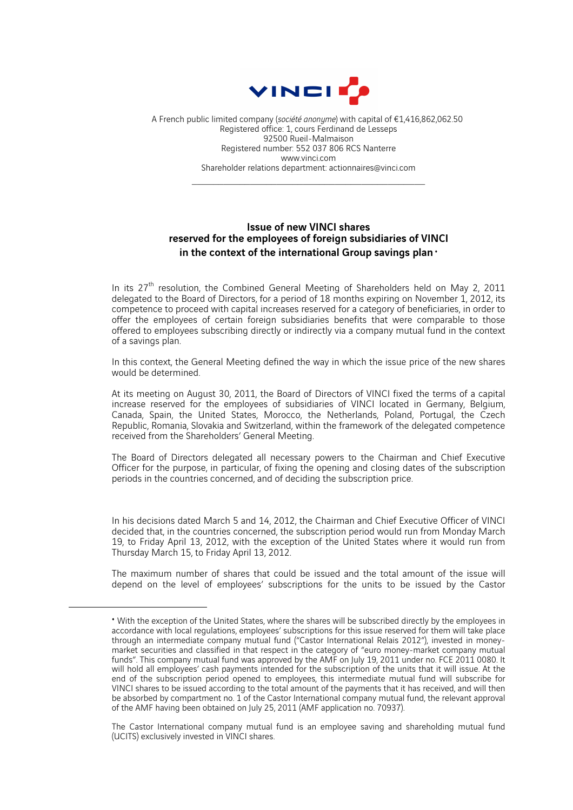

A French public limited company (*société anonyme*) with capital of €1,416,862,062.50 Registered office: 1, cours Ferdinand de Lesseps 92500 Rueil-Malmaison Registered number: 552 037 806 RCS Nanterre www.vinci.com Shareholder relations department: actionnaires@vinci.com

 $\mathcal{L}_\text{max}$  and the set of the set of the set of the set of the set of the set of the set of the set of the set of the set of the set of the set of the set of the set of the set of the set of the set of the set of the s

## Issue of new VINCI shares reserved for the employees of foreign subsidiaries of VINCI in the context of the international Group savings plan  $\cdot$

In its  $27<sup>th</sup>$  resolution, the Combined General Meeting of Shareholders held on May 2, 2011 delegated to the Board of Directors, for a period of 18 months expiring on November 1, 2012, its competence to proceed with capital increases reserved for a category of beneficiaries, in order to offer the employees of certain foreign subsidiaries benefits that were comparable to those offered to employees subscribing directly or indirectly via a company mutual fund in the context of a savings plan.

In this context, the General Meeting defined the way in which the issue price of the new shares would be determined.

At its meeting on August 30, 2011, the Board of Directors of VINCI fixed the terms of a capital increase reserved for the employees of subsidiaries of VINCI located in Germany, Belgium, Canada, Spain, the United States, Morocco, the Netherlands, Poland, Portugal, the Czech Republic, Romania, Slovakia and Switzerland, within the framework of the delegated competence received from the Shareholders' General Meeting.

The Board of Directors delegated all necessary powers to the Chairman and Chief Executive Officer for the purpose, in particular, of fixing the opening and closing dates of the subscription periods in the countries concerned, and of deciding the subscription price.

In his decisions dated March 5 and 14, 2012, the Chairman and Chief Executive Officer of VINCI decided that, in the countries concerned, the subscription period would run from Monday March 19, to Friday April 13, 2012, with the exception of the United States where it would run from Thursday March 15, to Friday April 13, 2012.

The maximum number of shares that could be issued and the total amount of the issue will depend on the level of employees' subscriptions for the units to be issued by the Castor

 $\overline{a}$ 

<sup>♦</sup> With the exception of the United States, where the shares will be subscribed directly by the employees in accordance with local regulations, employees' subscriptions for this issue reserved for them will take place through an intermediate company mutual fund ("Castor International Relais 2012"), invested in moneymarket securities and classified in that respect in the category of "euro money-market company mutual funds". This company mutual fund was approved by the AMF on July 19, 2011 under no. FCE 2011 0080. It will hold all employees' cash payments intended for the subscription of the units that it will issue. At the end of the subscription period opened to employees, this intermediate mutual fund will subscribe for VINCI shares to be issued according to the total amount of the payments that it has received, and will then be absorbed by compartment no. 1 of the Castor International company mutual fund, the relevant approval of the AMF having been obtained on July 25, 2011 (AMF application no. 70937).

The Castor International company mutual fund is an employee saving and shareholding mutual fund (UCITS) exclusively invested in VINCI shares.